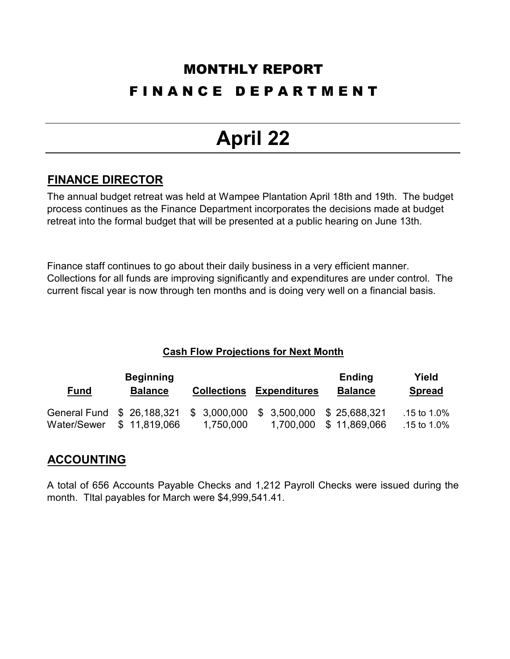### MONTHLY REPORT F I N A N C E D E P A R T M E N T

## **April 22**

#### **FINANCE DIRECTOR**

The annual budget retreat was held at Wampee Plantation April 18th and 19th. The budget process continues as the Finance Department incorporates the decisions made at budget retreat into the formal budget that will be presented at a public hearing on June 13th.

Finance staff continues to go about their daily business in a very efficient manner. Collections for all funds are improving significantly and expenditures are under control. The current fiscal year is now through ten months and is doing very well on a financial basis.

#### **Cash Flow Projections for Next Month**

|             | <b>Beginning</b>           |                    |                            | <b>Ending</b>  | Yield          |
|-------------|----------------------------|--------------------|----------------------------|----------------|----------------|
| <u>Fund</u> | <b>Balance</b>             | <b>Collections</b> | <b>Expenditures</b>        | <b>Balance</b> | <b>Spread</b>  |
|             | General Fund \$ 26,188,321 | \$3,000,000        | \$ 3,500,000 \$ 25,688,321 |                | .15 to $1.0\%$ |
| Water/Sewer | \$11.819.066               | 1,750,000          | 1,700,000                  | \$11,869,066   | .15 to $1.0\%$ |

#### **ACCOUNTING**

A total of 656 Accounts Payable Checks and 1,212 Payroll Checks were issued during the month. Tltal payables for March were \$4,999,541.41.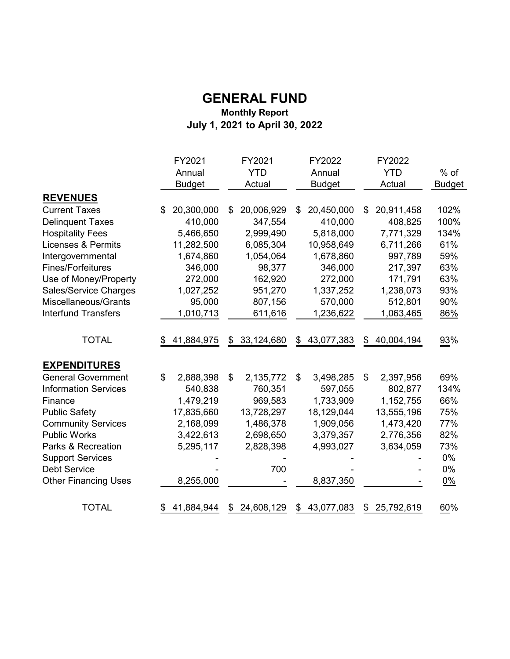#### **GENERAL FUND Monthly Report July 1, 2021 to April 30, 2022**

|                               | FY2021           | FY2021           | FY2022           | FY2022           |               |
|-------------------------------|------------------|------------------|------------------|------------------|---------------|
|                               | Annual           | <b>YTD</b>       | Annual           | <b>YTD</b>       | $%$ of        |
|                               | <b>Budget</b>    | Actual           | <b>Budget</b>    | Actual           | <b>Budget</b> |
| <b>REVENUES</b>               |                  |                  |                  |                  |               |
| <b>Current Taxes</b>          | 20,300,000<br>\$ | 20,006,929<br>\$ | 20,450,000<br>\$ | 20,911,458<br>\$ | 102%          |
| <b>Delinquent Taxes</b>       | 410,000          | 347,554          | 410,000          | 408,825          | 100%          |
| <b>Hospitality Fees</b>       | 5,466,650        | 2,999,490        | 5,818,000        | 7,771,329        | 134%          |
| <b>Licenses &amp; Permits</b> | 11,282,500       | 6,085,304        | 10,958,649       | 6,711,266        | 61%           |
| Intergovernmental             | 1,674,860        | 1,054,064        | 1,678,860        | 997,789          | 59%           |
| <b>Fines/Forfeitures</b>      | 346,000          | 98,377           | 346,000          | 217,397          | 63%           |
| Use of Money/Property         | 272,000          | 162,920          | 272,000          | 171,791          | 63%           |
| Sales/Service Charges         | 1,027,252        | 951,270          | 1,337,252        | 1,238,073        | 93%           |
| Miscellaneous/Grants          | 95,000           | 807,156          | 570,000          | 512,801          | 90%           |
| <b>Interfund Transfers</b>    | 1,010,713        | 611,616          | 1,236,622        | 1,063,465        | 86%           |
| <b>TOTAL</b>                  | 41,884,975       | 33,124,680<br>\$ | 43,077,383<br>\$ | 40,004,194<br>\$ | 93%           |
| <b>EXPENDITURES</b>           |                  |                  |                  |                  |               |
| <b>General Government</b>     | \$<br>2,888,398  | 2,135,772<br>\$  | 3,498,285<br>\$  | 2,397,956<br>\$  | 69%           |
| <b>Information Services</b>   | 540,838          | 760,351          | 597,055          | 802,877          | 134%          |
| Finance                       | 1,479,219        | 969,583          | 1,733,909        | 1,152,755        | 66%           |
| <b>Public Safety</b>          | 17,835,660       | 13,728,297       | 18,129,044       | 13,555,196       | 75%           |
| <b>Community Services</b>     | 2,168,099        | 1,486,378        | 1,909,056        | 1,473,420        | 77%           |
| <b>Public Works</b>           | 3,422,613        | 2,698,650        | 3,379,357        | 2,776,356        | 82%           |
| Parks & Recreation            | 5,295,117        | 2,828,398        | 4,993,027        | 3,634,059        | 73%           |
| <b>Support Services</b>       |                  |                  |                  |                  | 0%            |
| <b>Debt Service</b>           |                  | 700              |                  |                  | 0%            |
| <b>Other Financing Uses</b>   | 8,255,000        |                  | 8,837,350        |                  | $0\%$         |
| <b>TOTAL</b>                  | 41,884,944       | 24,608,129<br>\$ | 43,077,083<br>\$ | 25,792,619<br>\$ | 60%           |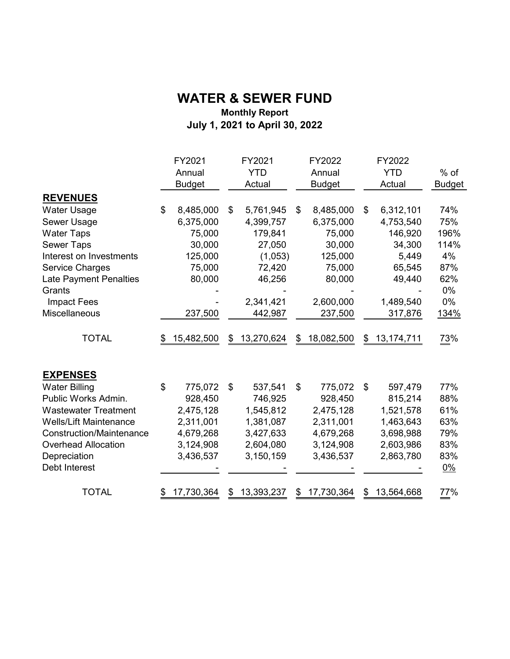#### **Monthly Report July 1, 2021 to April 30, 2022 WATER & SEWER FUND**

| <b>YTD</b><br><b>YTD</b><br>Annual<br>Annual<br><b>Budget</b><br><b>Budget</b><br>Actual<br>Actual<br><b>REVENUES</b><br>8,485,000<br>6,312,101<br><b>Water Usage</b><br>\$<br>8,485,000<br>5,761,945<br>\$<br>\$<br>\$<br>6,375,000<br>6,375,000<br>4,753,540<br>Sewer Usage<br>4,399,757<br>75,000<br>75,000<br>146,920<br><b>Water Taps</b><br>179,841<br>30,000<br><b>Sewer Taps</b><br>27,050<br>30,000<br>34,300<br>4%<br>Interest on Investments<br>125,000<br>(1,053)<br>125,000<br>5,449<br><b>Service Charges</b><br>75,000<br>72,420<br>75,000<br>65,545<br>80,000<br>46,256<br>80,000<br>49,440<br><b>Late Payment Penalties</b><br>$0\%$<br>Grants<br>2,600,000<br>0%<br>2,341,421<br>1,489,540<br><b>Impact Fees</b><br>Miscellaneous<br>237,500<br>237,500<br>442,987<br>317,876<br><b>TOTAL</b><br>13,270,624<br>13, 174, 711<br>15,482,500<br>18,082,500<br>\$<br>\$<br>\$<br>\$<br><b>EXPENSES</b><br>\$<br>77%<br><b>Water Billing</b><br>775,072<br>\$<br>537,541<br>\$<br>775,072<br>\$<br>597,479<br>Public Works Admin.<br>928,450<br>815,214<br>88%<br>928,450<br>746,925<br>1,545,812<br>1,521,578<br><b>Wastewater Treatment</b><br>2,475,128<br>2,475,128<br><b>Wells/Lift Maintenance</b><br>2,311,001<br>1,381,087<br>2,311,001<br>1,463,643<br><b>Construction/Maintenance</b><br>3,698,988<br>4,679,268<br>3,427,633<br>4,679,268<br><b>Overhead Allocation</b><br>3,124,908<br>2,604,080<br>2,603,986<br>3,124,908<br>Depreciation<br>3,436,537<br>3,150,159<br>3,436,537<br>2,863,780<br>Debt Interest<br>$0\%$<br><b>TOTAL</b><br>17,730,364<br>13,393,237<br>17,730,364<br>13,564,668<br>\$<br>\$<br>\$<br>\$ |  | FY2021 | FY2021 | FY2022 | FY2022 |               |
|--------------------------------------------------------------------------------------------------------------------------------------------------------------------------------------------------------------------------------------------------------------------------------------------------------------------------------------------------------------------------------------------------------------------------------------------------------------------------------------------------------------------------------------------------------------------------------------------------------------------------------------------------------------------------------------------------------------------------------------------------------------------------------------------------------------------------------------------------------------------------------------------------------------------------------------------------------------------------------------------------------------------------------------------------------------------------------------------------------------------------------------------------------------------------------------------------------------------------------------------------------------------------------------------------------------------------------------------------------------------------------------------------------------------------------------------------------------------------------------------------------------------------------------------------------------------------------------------------------------------------------------------------|--|--------|--------|--------|--------|---------------|
|                                                                                                                                                                                                                                                                                                                                                                                                                                                                                                                                                                                                                                                                                                                                                                                                                                                                                                                                                                                                                                                                                                                                                                                                                                                                                                                                                                                                                                                                                                                                                                                                                                                  |  |        |        |        |        | $%$ of        |
|                                                                                                                                                                                                                                                                                                                                                                                                                                                                                                                                                                                                                                                                                                                                                                                                                                                                                                                                                                                                                                                                                                                                                                                                                                                                                                                                                                                                                                                                                                                                                                                                                                                  |  |        |        |        |        | <b>Budget</b> |
|                                                                                                                                                                                                                                                                                                                                                                                                                                                                                                                                                                                                                                                                                                                                                                                                                                                                                                                                                                                                                                                                                                                                                                                                                                                                                                                                                                                                                                                                                                                                                                                                                                                  |  |        |        |        |        |               |
|                                                                                                                                                                                                                                                                                                                                                                                                                                                                                                                                                                                                                                                                                                                                                                                                                                                                                                                                                                                                                                                                                                                                                                                                                                                                                                                                                                                                                                                                                                                                                                                                                                                  |  |        |        |        |        | 74%           |
|                                                                                                                                                                                                                                                                                                                                                                                                                                                                                                                                                                                                                                                                                                                                                                                                                                                                                                                                                                                                                                                                                                                                                                                                                                                                                                                                                                                                                                                                                                                                                                                                                                                  |  |        |        |        |        | 75%           |
|                                                                                                                                                                                                                                                                                                                                                                                                                                                                                                                                                                                                                                                                                                                                                                                                                                                                                                                                                                                                                                                                                                                                                                                                                                                                                                                                                                                                                                                                                                                                                                                                                                                  |  |        |        |        |        | 196%          |
|                                                                                                                                                                                                                                                                                                                                                                                                                                                                                                                                                                                                                                                                                                                                                                                                                                                                                                                                                                                                                                                                                                                                                                                                                                                                                                                                                                                                                                                                                                                                                                                                                                                  |  |        |        |        |        | 114%          |
|                                                                                                                                                                                                                                                                                                                                                                                                                                                                                                                                                                                                                                                                                                                                                                                                                                                                                                                                                                                                                                                                                                                                                                                                                                                                                                                                                                                                                                                                                                                                                                                                                                                  |  |        |        |        |        |               |
|                                                                                                                                                                                                                                                                                                                                                                                                                                                                                                                                                                                                                                                                                                                                                                                                                                                                                                                                                                                                                                                                                                                                                                                                                                                                                                                                                                                                                                                                                                                                                                                                                                                  |  |        |        |        |        | 87%           |
|                                                                                                                                                                                                                                                                                                                                                                                                                                                                                                                                                                                                                                                                                                                                                                                                                                                                                                                                                                                                                                                                                                                                                                                                                                                                                                                                                                                                                                                                                                                                                                                                                                                  |  |        |        |        |        | 62%           |
|                                                                                                                                                                                                                                                                                                                                                                                                                                                                                                                                                                                                                                                                                                                                                                                                                                                                                                                                                                                                                                                                                                                                                                                                                                                                                                                                                                                                                                                                                                                                                                                                                                                  |  |        |        |        |        |               |
|                                                                                                                                                                                                                                                                                                                                                                                                                                                                                                                                                                                                                                                                                                                                                                                                                                                                                                                                                                                                                                                                                                                                                                                                                                                                                                                                                                                                                                                                                                                                                                                                                                                  |  |        |        |        |        |               |
|                                                                                                                                                                                                                                                                                                                                                                                                                                                                                                                                                                                                                                                                                                                                                                                                                                                                                                                                                                                                                                                                                                                                                                                                                                                                                                                                                                                                                                                                                                                                                                                                                                                  |  |        |        |        |        | 134%          |
|                                                                                                                                                                                                                                                                                                                                                                                                                                                                                                                                                                                                                                                                                                                                                                                                                                                                                                                                                                                                                                                                                                                                                                                                                                                                                                                                                                                                                                                                                                                                                                                                                                                  |  |        |        |        |        | 73%           |
|                                                                                                                                                                                                                                                                                                                                                                                                                                                                                                                                                                                                                                                                                                                                                                                                                                                                                                                                                                                                                                                                                                                                                                                                                                                                                                                                                                                                                                                                                                                                                                                                                                                  |  |        |        |        |        |               |
|                                                                                                                                                                                                                                                                                                                                                                                                                                                                                                                                                                                                                                                                                                                                                                                                                                                                                                                                                                                                                                                                                                                                                                                                                                                                                                                                                                                                                                                                                                                                                                                                                                                  |  |        |        |        |        |               |
|                                                                                                                                                                                                                                                                                                                                                                                                                                                                                                                                                                                                                                                                                                                                                                                                                                                                                                                                                                                                                                                                                                                                                                                                                                                                                                                                                                                                                                                                                                                                                                                                                                                  |  |        |        |        |        |               |
|                                                                                                                                                                                                                                                                                                                                                                                                                                                                                                                                                                                                                                                                                                                                                                                                                                                                                                                                                                                                                                                                                                                                                                                                                                                                                                                                                                                                                                                                                                                                                                                                                                                  |  |        |        |        |        | 61%           |
|                                                                                                                                                                                                                                                                                                                                                                                                                                                                                                                                                                                                                                                                                                                                                                                                                                                                                                                                                                                                                                                                                                                                                                                                                                                                                                                                                                                                                                                                                                                                                                                                                                                  |  |        |        |        |        | 63%           |
|                                                                                                                                                                                                                                                                                                                                                                                                                                                                                                                                                                                                                                                                                                                                                                                                                                                                                                                                                                                                                                                                                                                                                                                                                                                                                                                                                                                                                                                                                                                                                                                                                                                  |  |        |        |        |        | 79%           |
|                                                                                                                                                                                                                                                                                                                                                                                                                                                                                                                                                                                                                                                                                                                                                                                                                                                                                                                                                                                                                                                                                                                                                                                                                                                                                                                                                                                                                                                                                                                                                                                                                                                  |  |        |        |        |        | 83%           |
|                                                                                                                                                                                                                                                                                                                                                                                                                                                                                                                                                                                                                                                                                                                                                                                                                                                                                                                                                                                                                                                                                                                                                                                                                                                                                                                                                                                                                                                                                                                                                                                                                                                  |  |        |        |        |        | 83%           |
|                                                                                                                                                                                                                                                                                                                                                                                                                                                                                                                                                                                                                                                                                                                                                                                                                                                                                                                                                                                                                                                                                                                                                                                                                                                                                                                                                                                                                                                                                                                                                                                                                                                  |  |        |        |        |        |               |
|                                                                                                                                                                                                                                                                                                                                                                                                                                                                                                                                                                                                                                                                                                                                                                                                                                                                                                                                                                                                                                                                                                                                                                                                                                                                                                                                                                                                                                                                                                                                                                                                                                                  |  |        |        |        |        | 77%           |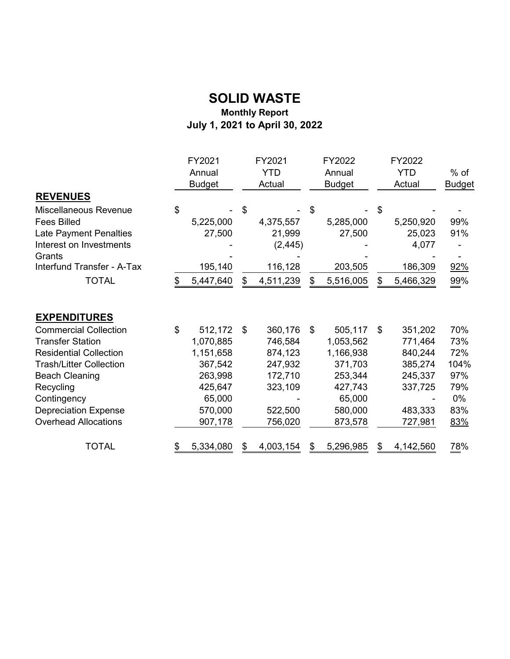#### **SOLID WASTE Monthly Report July 1, 2021 to April 30, 2022**

|                                                                                                                                                                                                                                               |          | FY2021<br>Annual                                                                                   |          | FY2021<br><b>YTD</b>                                                                 |          | FY2022<br>Annual                                                                                   | FY2022<br><b>YTD</b>                                                                       | $%$ of                                                      |
|-----------------------------------------------------------------------------------------------------------------------------------------------------------------------------------------------------------------------------------------------|----------|----------------------------------------------------------------------------------------------------|----------|--------------------------------------------------------------------------------------|----------|----------------------------------------------------------------------------------------------------|--------------------------------------------------------------------------------------------|-------------------------------------------------------------|
|                                                                                                                                                                                                                                               |          | <b>Budget</b>                                                                                      |          | Actual                                                                               |          | <b>Budget</b>                                                                                      | Actual                                                                                     | <b>Budget</b>                                               |
| <b>REVENUES</b>                                                                                                                                                                                                                               |          |                                                                                                    |          |                                                                                      |          |                                                                                                    |                                                                                            |                                                             |
| Miscellaneous Revenue<br><b>Fees Billed</b><br>Late Payment Penalties<br>Interest on Investments<br>Grants<br>Interfund Transfer - A-Tax<br><b>TOTAL</b>                                                                                      | \$<br>\$ | 5,225,000<br>27,500<br>195,140<br>5,447,640                                                        | \$<br>\$ | 4,375,557<br>21,999<br>(2, 445)<br>116,128<br>4,511,239                              | \$<br>\$ | 5,285,000<br>27,500<br>203,505<br>5,516,005                                                        | \$<br>5,250,920<br>25,023<br>4,077<br>186,309<br>5,466,329                                 | 99%<br>91%<br>92%<br>99%                                    |
| <b>EXPENDITURES</b>                                                                                                                                                                                                                           |          |                                                                                                    |          |                                                                                      |          |                                                                                                    |                                                                                            |                                                             |
| <b>Commercial Collection</b><br><b>Transfer Station</b><br><b>Residential Collection</b><br><b>Trash/Litter Collection</b><br><b>Beach Cleaning</b><br>Recycling<br>Contingency<br><b>Depreciation Expense</b><br><b>Overhead Allocations</b> | \$       | 512,172<br>1,070,885<br>1,151,658<br>367,542<br>263,998<br>425,647<br>65,000<br>570,000<br>907,178 | \$       | 360,176<br>746,584<br>874,123<br>247,932<br>172,710<br>323,109<br>522,500<br>756,020 | \$       | 505,117<br>1,053,562<br>1,166,938<br>371,703<br>253,344<br>427,743<br>65,000<br>580,000<br>873,578 | \$<br>351,202<br>771,464<br>840,244<br>385,274<br>245,337<br>337,725<br>483,333<br>727,981 | 70%<br>73%<br>72%<br>104%<br>97%<br>79%<br>0%<br>83%<br>83% |
| <b>TOTAL</b>                                                                                                                                                                                                                                  |          | 5,334,080                                                                                          |          | 4,003,154                                                                            |          | 5,296,985                                                                                          | 4,142,560                                                                                  | 78%                                                         |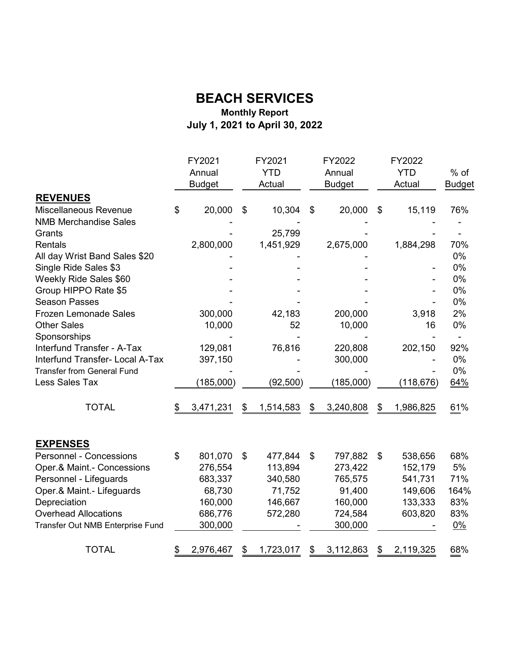#### **Monthly Report July 1, 2021 to April 30, 2022 BEACH SERVICES**

|                                   | FY2021          | FY2021          | FY2022          | FY2022          |               |
|-----------------------------------|-----------------|-----------------|-----------------|-----------------|---------------|
|                                   | Annual          | <b>YTD</b>      | Annual          | <b>YTD</b>      | $%$ of        |
|                                   | <b>Budget</b>   | Actual          | <b>Budget</b>   | Actual          | <b>Budget</b> |
| <b>REVENUES</b>                   |                 |                 |                 |                 |               |
| Miscellaneous Revenue             | \$<br>20,000    | \$<br>10,304    | \$<br>20,000    | \$<br>15,119    | 76%           |
| <b>NMB Merchandise Sales</b>      |                 |                 |                 |                 |               |
| Grants                            |                 | 25,799          |                 |                 |               |
| Rentals                           | 2,800,000       | 1,451,929       | 2,675,000       | 1,884,298       | 70%           |
| All day Wrist Band Sales \$20     |                 |                 |                 |                 | 0%            |
| Single Ride Sales \$3             |                 |                 |                 |                 | 0%            |
| Weekly Ride Sales \$60            |                 |                 |                 |                 | 0%            |
| Group HIPPO Rate \$5              |                 |                 |                 |                 | 0%            |
| <b>Season Passes</b>              |                 |                 |                 |                 | 0%            |
| <b>Frozen Lemonade Sales</b>      | 300,000         | 42,183          | 200,000         | 3,918           | 2%            |
| <b>Other Sales</b>                | 10,000          | 52              | 10,000          | 16              | 0%            |
| Sponsorships                      |                 |                 |                 |                 |               |
| Interfund Transfer - A-Tax        | 129,081         | 76,816          | 220,808         | 202,150         | 92%           |
| Interfund Transfer- Local A-Tax   | 397,150         |                 | 300,000         |                 | 0%            |
| <b>Transfer from General Fund</b> |                 |                 |                 |                 | 0%            |
| Less Sales Tax                    | (185,000)       | (92, 500)       | (185,000)       | (118, 676)      | 64%           |
| <b>TOTAL</b>                      | \$<br>3,471,231 | \$<br>1,514,583 | \$<br>3,240,808 | \$<br>1,986,825 | 61%           |
| <b>EXPENSES</b>                   |                 |                 |                 |                 |               |
| <b>Personnel - Concessions</b>    | \$<br>801,070   | \$<br>477,844   | \$<br>797,882   | \$<br>538,656   | 68%           |
| Oper.& Maint.- Concessions        | 276,554         | 113,894         | 273,422         | 152,179         | 5%            |
| Personnel - Lifeguards            | 683,337         | 340,580         | 765,575         | 541,731         | 71%           |
| Oper.& Maint.- Lifeguards         | 68,730          | 71,752          | 91,400          | 149,606         | 164%          |
| Depreciation                      | 160,000         | 146,667         | 160,000         | 133,333         | 83%           |
| <b>Overhead Allocations</b>       | 686,776         | 572,280         | 724,584         | 603,820         | 83%           |
| Transfer Out NMB Enterprise Fund  | 300,000         |                 | 300,000         |                 | $0\%$         |
| <b>TOTAL</b>                      | \$<br>2,976,467 | \$<br>1,723,017 | \$<br>3,112,863 | \$<br>2,119,325 | 68%           |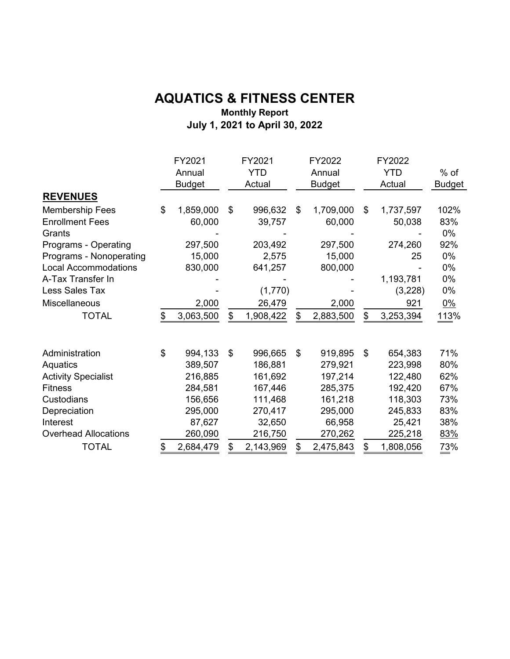#### **AQUATICS & FITNESS CENTER Monthly Report July 1, 2021 to April 30, 2022**

|                             | FY2021<br>Annual<br><b>Budget</b> | FY2021<br><b>YTD</b><br>Actual | FY2022<br>Annual<br><b>Budget</b> | FY2022<br><b>YTD</b><br>Actual | $%$ of<br><b>Budget</b> |
|-----------------------------|-----------------------------------|--------------------------------|-----------------------------------|--------------------------------|-------------------------|
| <b>REVENUES</b>             |                                   |                                |                                   |                                |                         |
| <b>Membership Fees</b>      | \$<br>1,859,000                   | \$<br>996,632                  | \$<br>1,709,000                   | \$<br>1,737,597                | 102%                    |
| <b>Enrollment Fees</b>      | 60,000                            | 39,757                         | 60,000                            | 50,038                         | 83%                     |
| Grants                      |                                   |                                |                                   |                                | 0%                      |
| Programs - Operating        | 297,500                           | 203,492                        | 297,500                           | 274,260                        | 92%                     |
| Programs - Nonoperating     | 15,000                            | 2,575                          | 15,000                            | 25                             | 0%                      |
| <b>Local Accommodations</b> | 830,000                           | 641,257                        | 800,000                           |                                | 0%                      |
| A-Tax Transfer In           |                                   |                                |                                   | 1,193,781                      | 0%                      |
| Less Sales Tax              |                                   | (1,770)                        |                                   | (3,228)                        | 0%                      |
| Miscellaneous               | 2,000                             | 26,479                         | 2,000                             | 921                            | $0\%$                   |
| <b>TOTAL</b>                | \$<br>3,063,500                   | \$<br>1,908,422                | \$<br>2,883,500                   | \$<br>3,253,394                | 113%                    |
| Administration              | \$<br>994,133                     | \$<br>996,665                  | \$<br>919,895                     | \$<br>654,383                  | 71%                     |
| Aquatics                    | 389,507                           | 186,881                        | 279,921                           | 223,998                        | 80%                     |
| <b>Activity Specialist</b>  | 216,885                           | 161,692                        | 197,214                           | 122,480                        | 62%                     |
| <b>Fitness</b>              | 284,581                           | 167,446                        | 285,375                           | 192,420                        | 67%                     |
| Custodians                  | 156,656                           | 111,468                        | 161,218                           | 118,303                        | 73%                     |
| Depreciation                | 295,000                           | 270,417                        | 295,000                           | 245,833                        | 83%                     |
| Interest                    | 87,627                            | 32,650                         | 66,958                            | 25,421                         | 38%                     |
| <b>Overhead Allocations</b> | 260,090                           | 216,750                        | 270,262                           | 225,218                        | 83%                     |
| <b>TOTAL</b>                | \$<br>2,684,479                   | \$<br>2,143,969                | \$<br>2,475,843                   | \$<br>1,808,056                | 73%                     |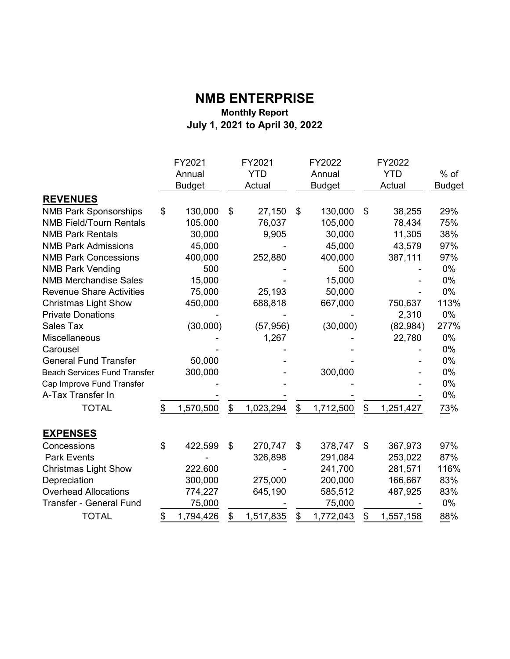#### **NMB ENTERPRISE Monthly Report July 1, 2021 to April 30, 2022**

|                                     | FY2021<br>Annual<br><b>Budget</b> | FY2021<br><b>YTD</b><br>Actual | FY2022<br>Annual<br><b>Budget</b> | FY2022<br><b>YTD</b><br>Actual | $%$ of<br><b>Budget</b> |
|-------------------------------------|-----------------------------------|--------------------------------|-----------------------------------|--------------------------------|-------------------------|
| <b>REVENUES</b>                     |                                   |                                |                                   |                                |                         |
| <b>NMB Park Sponsorships</b>        | \$<br>130,000                     | \$<br>27,150                   | \$<br>130,000                     | \$<br>38,255                   | 29%                     |
| <b>NMB Field/Tourn Rentals</b>      | 105,000                           | 76,037                         | 105,000                           | 78,434                         | 75%                     |
| <b>NMB Park Rentals</b>             | 30,000                            | 9,905                          | 30,000                            | 11,305                         | 38%                     |
| <b>NMB Park Admissions</b>          | 45,000                            |                                | 45,000                            | 43,579                         | 97%                     |
| <b>NMB Park Concessions</b>         | 400,000                           | 252,880                        | 400,000                           | 387,111                        | 97%                     |
| <b>NMB Park Vending</b>             | 500                               |                                | 500                               |                                | 0%                      |
| <b>NMB Merchandise Sales</b>        | 15,000                            |                                | 15,000                            |                                | 0%                      |
| <b>Revenue Share Activities</b>     | 75,000                            | 25,193                         | 50,000                            |                                | 0%                      |
| <b>Christmas Light Show</b>         | 450,000                           | 688,818                        | 667,000                           | 750,637                        | 113%                    |
| <b>Private Donations</b>            |                                   |                                |                                   | 2,310                          | 0%                      |
| <b>Sales Tax</b>                    | (30,000)                          | (57, 956)                      | (30,000)                          | (82, 984)                      | 277%                    |
| Miscellaneous                       |                                   | 1,267                          |                                   | 22,780                         | 0%                      |
| Carousel                            |                                   |                                |                                   |                                | 0%                      |
| <b>General Fund Transfer</b>        | 50,000                            |                                |                                   |                                | 0%                      |
| <b>Beach Services Fund Transfer</b> | 300,000                           |                                | 300,000                           |                                | 0%                      |
| Cap Improve Fund Transfer           |                                   |                                |                                   |                                | 0%                      |
| A-Tax Transfer In                   |                                   |                                |                                   |                                | 0%                      |
| <b>TOTAL</b>                        | \$<br>1,570,500                   | \$<br>1,023,294                | \$<br>1,712,500                   | \$<br>1,251,427                | 73%                     |
| <b>EXPENSES</b>                     |                                   |                                |                                   |                                |                         |
| Concessions                         | \$<br>422,599                     | \$<br>270,747                  | \$<br>378,747                     | \$<br>367,973                  | 97%                     |
| <b>Park Events</b>                  |                                   | 326,898                        | 291,084                           | 253,022                        | 87%                     |
| <b>Christmas Light Show</b>         | 222,600                           |                                | 241,700                           | 281,571                        | 116%                    |
| Depreciation                        | 300,000                           | 275,000                        | 200,000                           | 166,667                        | 83%                     |
| <b>Overhead Allocations</b>         | 774,227                           | 645,190                        | 585,512                           | 487,925                        | 83%                     |
| <b>Transfer - General Fund</b>      | 75,000                            |                                | 75,000                            |                                | 0%                      |
| <b>TOTAL</b>                        | \$<br>1,794,426                   | \$<br>1,517,835                | \$<br>1,772,043                   | \$<br>1,557,158                | 88%                     |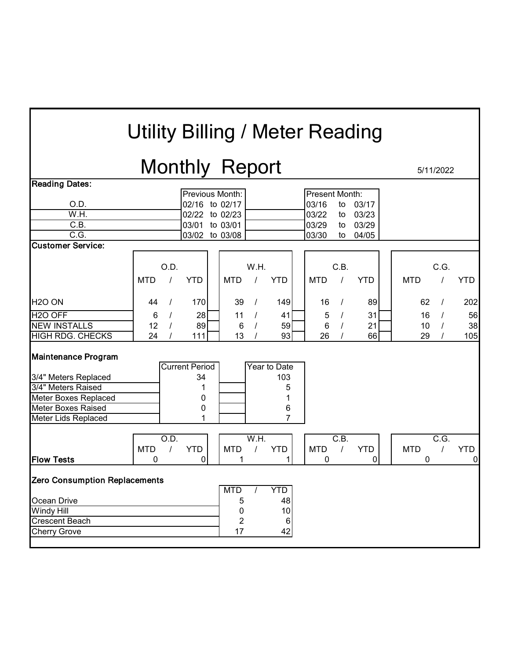# Utility Billing / Meter Reading

# Monthly Report 5/11/2022

| <b>Reading Dates:</b>                                                                                                                                       |            |          |                                            |                                              |                    |                                                      |                 |          |            |            |                   |                |
|-------------------------------------------------------------------------------------------------------------------------------------------------------------|------------|----------|--------------------------------------------|----------------------------------------------|--------------------|------------------------------------------------------|-----------------|----------|------------|------------|-------------------|----------------|
|                                                                                                                                                             |            |          |                                            | Previous Month:                              |                    |                                                      | Present Month:  |          |            |            |                   |                |
| O.D.                                                                                                                                                        |            |          | 02/16 to 02/17                             |                                              |                    |                                                      | 03/16           | to       | 03/17      |            |                   |                |
| W.H.                                                                                                                                                        |            |          | 02/22 to 02/23                             |                                              |                    |                                                      | 03/22           | to       | 03/23      |            |                   |                |
| $\overline{C.B.}$                                                                                                                                           |            |          | 03/01 to 03/01                             |                                              |                    |                                                      | 03/29           | to       | 03/29      |            |                   |                |
| C.G.                                                                                                                                                        |            |          | 03/02 to 03/08                             |                                              |                    |                                                      | 03/30           | to       | 04/05      |            |                   |                |
| <b>Customer Service:</b>                                                                                                                                    |            |          |                                            |                                              |                    |                                                      |                 |          |            |            |                   |                |
|                                                                                                                                                             |            |          |                                            |                                              |                    |                                                      |                 |          |            |            |                   |                |
|                                                                                                                                                             |            | O.D.     |                                            |                                              | W.H.               |                                                      |                 | C.B.     |            |            | C.G.              |                |
|                                                                                                                                                             | <b>MTD</b> |          | <b>YTD</b>                                 | <b>MTD</b>                                   |                    | <b>YTD</b>                                           | <b>MTD</b>      |          | <b>YTD</b> | <b>MTD</b> |                   | <b>YTD</b>     |
|                                                                                                                                                             |            |          |                                            |                                              |                    |                                                      |                 |          |            |            |                   |                |
| H <sub>20</sub> ON                                                                                                                                          | 44         | $\prime$ | 170                                        | 39                                           | $\prime$           | 149                                                  | 16              | $\prime$ | 89         | 62         |                   | 202            |
| H <sub>20</sub> OFF                                                                                                                                         | 6          |          | 28                                         | 11                                           | $\prime$           | 41                                                   | $\sqrt{5}$      |          | 31         | 16         |                   | 56             |
| <b>NEW INSTALLS</b>                                                                                                                                         | 12         |          | 89                                         | 6                                            |                    | 59                                                   | $6\phantom{1}6$ |          | 21         | 10         |                   | 38             |
| <b>HIGH RDG. CHECKS</b>                                                                                                                                     | 24         |          | 111                                        | 13                                           |                    | 93                                                   | 26              |          | 66         | 29         |                   | 105            |
| <b>Maintenance Program</b><br>3/4" Meters Replaced<br>3/4" Meters Raised<br>Meter Boxes Replaced<br><b>Meter Boxes Raised</b><br><b>Meter Lids Replaced</b> |            |          | <b>Current Period</b><br>34<br>1<br>0<br>0 |                                              |                    | Year to Date<br>103<br>5<br>1<br>6<br>$\overline{7}$ |                 |          |            |            |                   |                |
|                                                                                                                                                             |            | O.D.     |                                            |                                              | $\overline{W}$ .H. |                                                      |                 | C.B.     |            |            | $\overline{C.G.}$ |                |
|                                                                                                                                                             | <b>MTD</b> |          | <b>YTD</b>                                 | <b>MTD</b>                                   | $\prime$           | <b>YTD</b>                                           | <b>MTD</b>      | $\prime$ | <b>YTD</b> | <b>MTD</b> |                   | <b>YTD</b>     |
| <b>Flow Tests</b>                                                                                                                                           | 0          |          | 0                                          | 1                                            |                    | 1                                                    | 0               |          | 0          | 0          |                   | $\overline{0}$ |
| <b>Zero Consumption Replacements</b><br>Ocean Drive<br><b>Windy Hill</b><br><b>Crescent Beach</b><br><b>Cherry Grove</b>                                    |            |          |                                            | <b>MTD</b><br>5<br>0<br>$\overline{2}$<br>17 |                    | <b>YTD</b><br>48<br>10<br>$\,6$<br>42                |                 |          |            |            |                   |                |
|                                                                                                                                                             |            |          |                                            |                                              |                    |                                                      |                 |          |            |            |                   |                |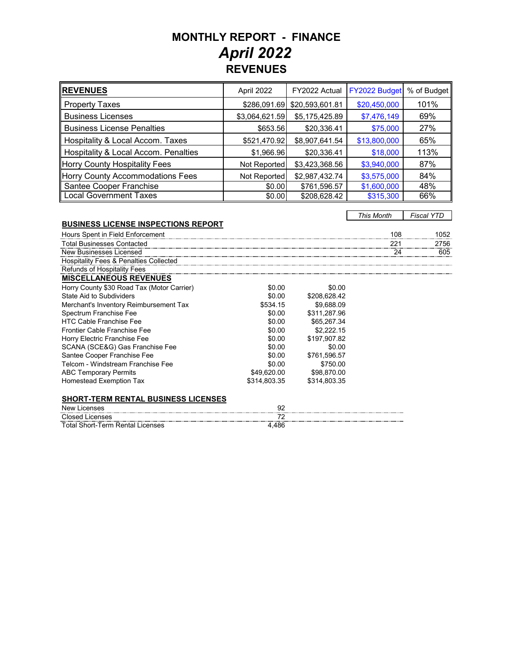### **MONTHLY REPORT - FINANCE REVENUES***April 2022*

| <b>REVENUES</b>                      | April 2022     | FY2022 Actual   | FY2022 Budget | % of Budget |
|--------------------------------------|----------------|-----------------|---------------|-------------|
| <b>Property Taxes</b>                | \$286,091.69   | \$20,593,601.81 | \$20,450,000  | 101%        |
| <b>Business Licenses</b>             | \$3,064,621.59 | \$5,175,425.89  | \$7,476,149   | 69%         |
| <b>Business License Penalties</b>    | \$653.56       | \$20,336.41     | \$75,000      | 27%         |
| Hospitality & Local Accom. Taxes     | \$521,470.92   | \$8,907,641.54  | \$13,800,000  | 65%         |
| Hospitality & Local Accom. Penalties | \$1,966.96     | \$20,336.41     | \$18,000      | 113%        |
| Horry County Hospitality Fees        | Not Reported   | \$3,423,368.56  | \$3,940,000   | 87%         |
| Horry County Accommodations Fees     | Not Reported   | \$2,987,432.74  | \$3,575,000   | 84%         |
| Santee Cooper Franchise              | \$0.00         | \$761,596.57    | \$1,600,000   | 48%         |
| <b>Local Government Taxes</b>        | \$0.00         | \$208,628.42    | \$315,300     | 66%         |

*This Month Fiscal YTD*

#### **BUSINESS LICENSE INSPECTIONS REPORT**

| Hours Spent in Field Enforcement                  |              |              | 108 | 1052 |
|---------------------------------------------------|--------------|--------------|-----|------|
| <b>Total Businesses Contacted</b>                 |              |              |     | 2756 |
| New Businesses Licensed                           |              |              |     | 605  |
| <b>Hospitality Fees &amp; Penalties Collected</b> |              |              |     |      |
| Refunds of Hospitality Fees                       |              |              |     |      |
| <b>MISCELLANEOUS REVENUES</b>                     |              |              |     |      |
| Horry County \$30 Road Tax (Motor Carrier)        | \$0.00       | \$0.00       |     |      |
| State Aid to Subdividers                          | \$0.00       | \$208.628.42 |     |      |
| Merchant's Inventory Reimbursement Tax            | \$534.15     | \$9.688.09   |     |      |
| Spectrum Franchise Fee                            | \$0.00       | \$311.287.96 |     |      |
| <b>HTC Cable Franchise Fee</b>                    | \$0.00       | \$65,267,34  |     |      |
| Frontier Cable Franchise Fee                      | \$0.00       | \$2,222.15   |     |      |
| Horry Electric Franchise Fee                      | \$0.00       | \$197.907.82 |     |      |
| SCANA (SCE&G) Gas Franchise Fee                   | \$0.00       | \$0.00       |     |      |
| Santee Cooper Franchise Fee                       | \$0.00       | \$761.596.57 |     |      |
| Telcom - Windstream Franchise Fee                 | \$0.00       | \$750.00     |     |      |
| <b>ABC Temporary Permits</b>                      | \$49,620.00  | \$98,870.00  |     |      |
| <b>Homestead Exemption Tax</b>                    | \$314,803.35 | \$314.803.35 |     |      |
|                                                   |              |              |     |      |
| <b>SHORT-TERM RENTAL BUSINESS LICENSES</b>        |              |              |     |      |

| New L<br><b>ICENSES</b>          |     |  |
|----------------------------------|-----|--|
| <b>Closed Licenses</b>           |     |  |
| Total Short-Term Rental Licenses | 486 |  |